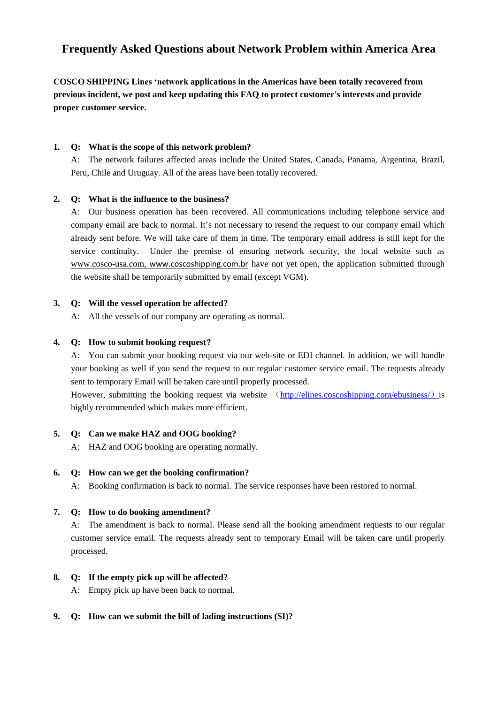# **Frequently Asked Questions about Network Problem within America Area**

**COSCO SHIPPING Lines 'network applications in the Americas have been totally recovered from previous incident, we post and keep updating this FAQ to protect customer's interests and provide proper customer service.**

# **1. Q: What is the scope of this network problem?**

A: The network failures affected areas include the United States, Canada, Panama, Argentina, Brazil, Peru, Chile and Uruguay. All of the areas have been totally recovered.

# **2. Q: What is the influence to the business?**

A: Our business operation has been recovered. All communications including telephone service and company email are back to normal. It's not necessary to resend the request to our company email which already sent before. We will take care of them in time. The temporary email address is still kept for the service continuity. Under the premise of ensuring network security, the local website such as [www.cosco-usa.com,](http://www.cosco-usa.com/) [www.coscoshipping.com.br](http://www.coscoshipping.com.br/) have not yet open, the application submitted through the website shall be temporarily submitted by email (except VGM).

# **3. Q: Will the vessel operation be affected?**

A: All the vessels of our company are operating as normal.

# **4. Q: How to submit booking request**?

A: You can submit your booking request via our web-site or EDI channel. In addition, we will handle your booking as well if you send the request to our regular customer service email. The requests already sent to [temporary](javascript:;) Email will be taken care until properly processed.

However, submitting the booking request via website ([http://elines.coscoshipping.com/ebusiness/](http://elines.coscoshipping.com/ebusiness/）)) is highly recommended which makes more efficient.

# **5. Q: Can we make HAZ and OOG booking?**

A: HAZ and OOG booking are operating normally.

# **6. Q: How can we get the booking confirmation?**

A: Booking confirmation is back to normal. The service responses have been restored to normal.

# **7. Q: How to do booking amendment?**

A: The amendment is back to normal. Please send all the booking amendment requests to our regular customer service email. The requests already sent to [temporary](javascript:;) Email will be taken care until properly processed.

# **8. Q: If the empty pick up will be affected?**

A: Empty pick up have been back to normal.

# **9. Q: How can we submit the bill of lading instructions (SI)?**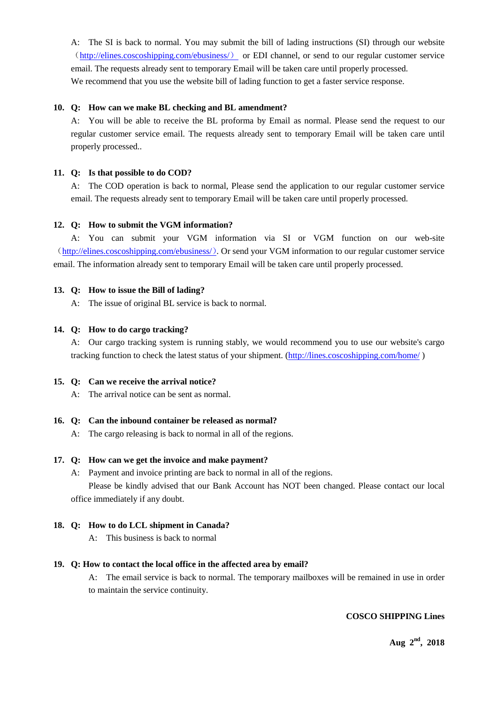A: The SI is back to normal. You may submit the bill of lading instructions (SI) through our website ([http://elines.coscoshipping.com/ebusiness/](http://elines.coscoshipping.com/ebusiness/）)) or EDI channel, or send to our regular customer service email. The requests already sent to [temporary](javascript:;) Email will be taken care until properly processed. We recommend that you use the website bill of lading function to get a faster service response.

## **10. Q: How can we make BL checking and BL amendment?**

A: You will be able to receive the BL proforma by Email as normal. Please send the request to our regular customer service email. The requests already sent to [temporary](javascript:;) Email will be taken care until properly processed..

## **11. Q: Is that possible to do COD?**

A: The COD operation is back to normal, Please send the application to our regular customer service email. The requests already sent to [temporary](javascript:;) Email will be taken care until properly processed.

## **12. Q: How to submit the VGM information?**

A: You can submit your VGM information via SI or VGM function on our web-site ([http://elines.coscoshipping.com/ebusiness/](http://elines.coscoshipping.com/ebusiness/）)). Or send your VGM information to our regular customer service email. The information already sent to [temporary](javascript:;) Email will be taken care until properly processed.

## **13. Q: How to issue the Bill of lading?**

A: The issue of original BL service is back to normal.

## **14. Q: How to do cargo tracking?**

A: Our cargo tracking system is running stably, we would recommend you to use our website's cargo tracking function to check the latest status of your shipment. [\(http://lines.coscoshipping.com/home/](http://lines.coscoshipping.com/home/))

#### **15. Q: Can we receive the arrival notice?**

A: The arrival notice can be sent as normal.

#### **16. Q: Can the inbound container be released as normal?**

A: The cargo releasing is back to normal in all of the regions.

#### **17. Q: How can we get the invoice and make payment?**

A: Payment and invoice printing are back to normal in all of the regions.

Please be kindly advised that our Bank Account has NOT been changed. Please contact our local office immediately if any doubt.

#### **18. Q: How to do LCL shipment in Canada?**

A: This business is back to normal

# **19. Q: How to contact the local office in the affected area by email?**

A: The email service is back to normal. The temporary mailboxes will be remained in use in order to maintain the service continuity.

# **COSCO SHIPPING Lines**

**Aug 2 nd, 2018**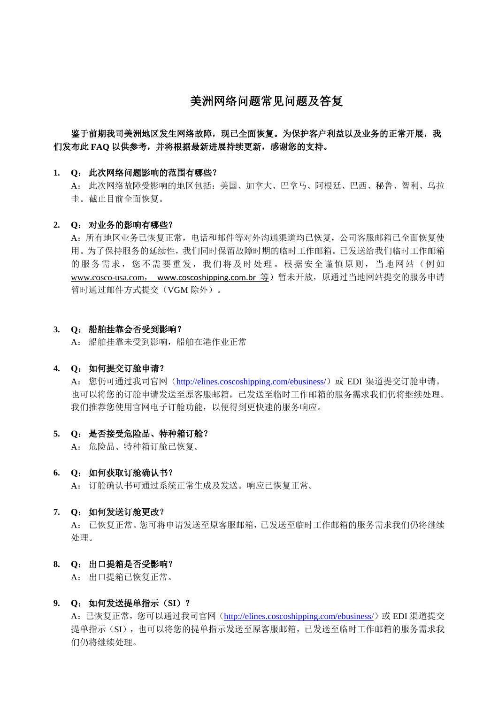# 美洲网络问题常见问题及答复

# 鉴于前期我司美洲地区发生网络故障,现已全面恢复。为保护客户利益以及业务的正常开展,我 们发布此 **FAQ** 以供参考,并将根据最新进展持续更新,感谢您的支持。

#### **1. Q**: 此次网络问题影响的范围有哪些?

A: 此次网络故障受影响的地区包括:美国、加拿大、巴拿马、阿根廷、巴西、秘鲁、智利、乌拉 圭。截止目前全面恢复。

#### **2. Q**: 对业务的影响有哪些?

A:所有地区业务已恢复正常,电话和邮件等对外沟通渠道均已恢复,公司客服邮箱已全面恢复使 用。为了保持服务的延续性,我们同时保留故障时期的临时工作邮箱。已发送给我们临时工作邮箱 的服务需求,您不需要重发,我们将及时处理。根据安全谨慎原则,当地网站(例如 [www.cosco-usa.com](http://www.cosco-usa.com/), [www.coscoshipping.com.br](http://www.coscoshipping.com.br/) 等)暂未开放,原通过当地网站提交的服务申请 暂时通过邮件方式提交(VGM 除外)。

## **3. Q**: 船舶挂靠会否受到影响?

A: 船舶挂靠未受到影响,船舶在港作业正常

#### **4. Q**: 如何提交订舱申请?

A: 您仍可通过我司官网(<http://elines.coscoshipping.com/ebusiness/>)或 EDI 渠道提交订舱申请。 也可以将您的订舱申请发送至原客服邮箱,已发送至临时工作邮箱的服务需求我们仍将继续处理。 我们推荐您使用官网电子订舱功能,以便得到更快速的服务响应。

#### **5. Q**: 是否接受危险品、特种箱订舱?

A: 危险品、特种箱订舱已恢复。

#### **6. Q**: 如何获取订舱确认书?

A: 订舱确认书可通过系统正常生成及发送。响应已恢复正常。

#### **7. Q**: 如何发送订舱更改?

A: 已恢复正常。您可将申请发送至原客服邮箱,已发送至临时工作邮箱的服务需求我们仍将继续 处理。

#### **8. Q**: 出口提箱是否受影响?

A: 出口提箱已恢复正常。

#### **9. Q**: 如何发送提单指示(**SI**)?

A: 已恢复正常, 您可以通过我司官网 (<http://elines.coscoshipping.com/ebusiness/>) 或 EDI 渠道提交 提单指示(SI),也可以将您的提单指示发送至原客服邮箱,已发送至临时工作邮箱的服务需求我 们仍将继续处理。